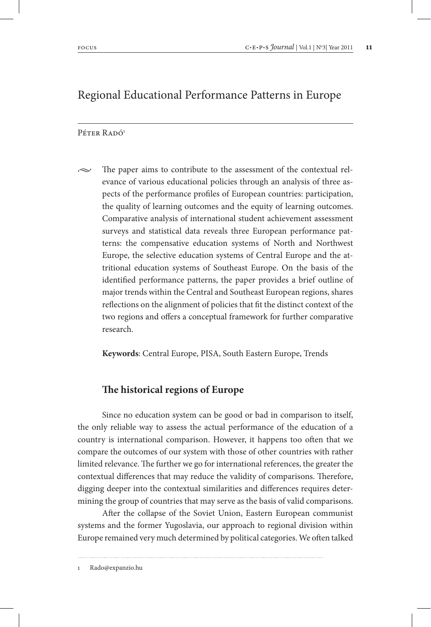# Regional Educational Performance Patterns in Europe

#### $P$ éter Radó<sup>1</sup>

 $\sim$  The paper aims to contribute to the assessment of the contextual relevance of various educational policies through an analysis of three aspects of the performance profiles of European countries: participation, the quality of learning outcomes and the equity of learning outcomes. Comparative analysis of international student achievement assessment surveys and statistical data reveals three European performance patterns: the compensative education systems of North and Northwest Europe, the selective education systems of Central Europe and the attritional education systems of Southeast Europe. On the basis of the identified performance patterns, the paper provides a brief outline of major trends within the Central and Southeast European regions, shares reflections on the alignment of policies that fit the distinct context of the two regions and offers a conceptual framework for further comparative research.

**Keywords**: Central Europe, PISA, South Eastern Europe, Trends

### **The historical regions of Europe**

Since no education system can be good or bad in comparison to itself, the only reliable way to assess the actual performance of the education of a country is international comparison. However, it happens too often that we compare the outcomes of our system with those of other countries with rather limited relevance. The further we go for international references, the greater the contextual differences that may reduce the validity of comparisons. Therefore, digging deeper into the contextual similarities and differences requires determining the group of countries that may serve as the basis of valid comparisons.

After the collapse of the Soviet Union, Eastern European communist systems and the former Yugoslavia, our approach to regional division within Europe remained very much determined by political categories. We often talked

Rado@expanzio.hu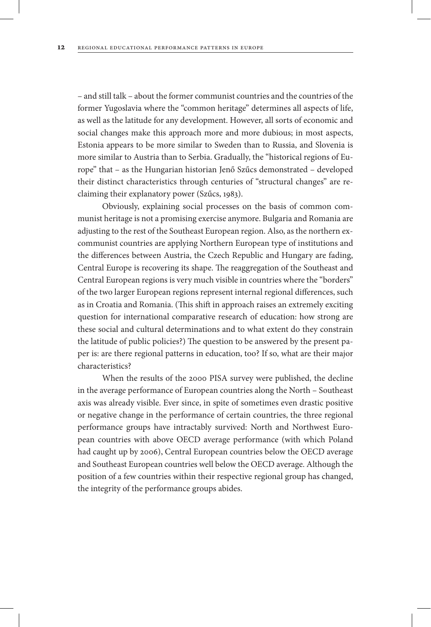– and still talk – about the former communist countries and the countries of the former Yugoslavia where the "common heritage" determines all aspects of life, as well as the latitude for any development. However, all sorts of economic and social changes make this approach more and more dubious; in most aspects, Estonia appears to be more similar to Sweden than to Russia, and Slovenia is more similar to Austria than to Serbia. Gradually, the "historical regions of Europe" that – as the Hungarian historian Jenő Szűcs demonstrated – developed their distinct characteristics through centuries of "structural changes" are reclaiming their explanatory power (Szűcs, 1983).

Obviously, explaining social processes on the basis of common communist heritage is not a promising exercise anymore. Bulgaria and Romania are adjusting to the rest of the Southeast European region. Also, as the northern excommunist countries are applying Northern European type of institutions and the differences between Austria, the Czech Republic and Hungary are fading, Central Europe is recovering its shape. The reaggregation of the Southeast and Central European regions is very much visible in countries where the "borders" of the two larger European regions represent internal regional differences, such as in Croatia and Romania. (This shift in approach raises an extremely exciting question for international comparative research of education: how strong are these social and cultural determinations and to what extent do they constrain the latitude of public policies?) The question to be answered by the present paper is: are there regional patterns in education, too? If so, what are their major characteristics?

When the results of the 2000 PISA survey were published, the decline in the average performance of European countries along the North – Southeast axis was already visible. Ever since, in spite of sometimes even drastic positive or negative change in the performance of certain countries, the three regional performance groups have intractably survived: North and Northwest European countries with above OECD average performance (with which Poland had caught up by 2006), Central European countries below the OECD average and Southeast European countries well below the OECD average. Although the position of a few countries within their respective regional group has changed, the integrity of the performance groups abides.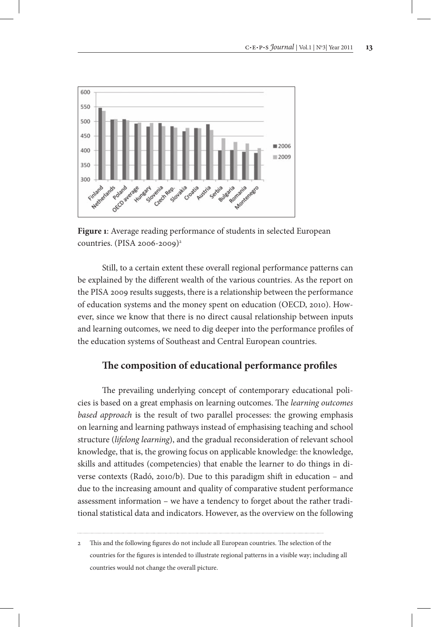

**Figure 1**: Average reading performance of students in selected European countries. (PISA 2006-2009)<sup>2</sup>

Still, to a certain extent these overall regional performance patterns can be explained by the different wealth of the various countries. As the report on the PISA 2009 results suggests, there is a relationship between the performance of education systems and the money spent on education (OECD, 2010). However, since we know that there is no direct causal relationship between inputs and learning outcomes, we need to dig deeper into the performance profiles of the education systems of Southeast and Central European countries.

## **The composition of educational performance profiles**

The prevailing underlying concept of contemporary educational policies is based on a great emphasis on learning outcomes. The *learning outcomes based approach* is the result of two parallel processes: the growing emphasis on learning and learning pathways instead of emphasising teaching and school structure (*lifelong learning*), and the gradual reconsideration of relevant school knowledge, that is, the growing focus on applicable knowledge: the knowledge, skills and attitudes (competencies) that enable the learner to do things in diverse contexts (Radó, 2010/b). Due to this paradigm shift in education – and due to the increasing amount and quality of comparative student performance assessment information – we have a tendency to forget about the rather traditional statistical data and indicators. However, as the overview on the following

<sup>2</sup> This and the following figures do not include all European countries. The selection of the countries for the figures is intended to illustrate regional patterns in a visible way; including all countries would not change the overall picture.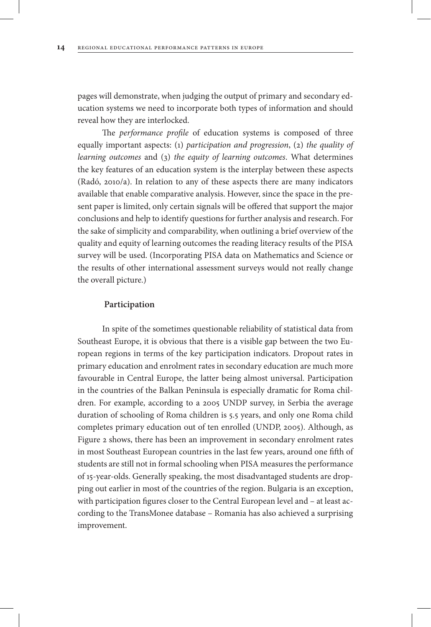pages will demonstrate, when judging the output of primary and secondary education systems we need to incorporate both types of information and should reveal how they are interlocked.

The *performance profile* of education systems is composed of three equally important aspects: (1) *participation and progression*, (2) *the quality of learning outcomes* and (3) *the equity of learning outcomes*. What determines the key features of an education system is the interplay between these aspects (Radó, 2010/a). In relation to any of these aspects there are many indicators available that enable comparative analysis. However, since the space in the present paper is limited, only certain signals will be offered that support the major conclusions and help to identify questions for further analysis and research. For the sake of simplicity and comparability, when outlining a brief overview of the quality and equity of learning outcomes the reading literacy results of the PISA survey will be used. (Incorporating PISA data on Mathematics and Science or the results of other international assessment surveys would not really change the overall picture.)

#### **Participation**

In spite of the sometimes questionable reliability of statistical data from Southeast Europe, it is obvious that there is a visible gap between the two European regions in terms of the key participation indicators. Dropout rates in primary education and enrolment rates in secondary education are much more favourable in Central Europe, the latter being almost universal. Participation in the countries of the Balkan Peninsula is especially dramatic for Roma children. For example, according to a 2005 UNDP survey, in Serbia the average duration of schooling of Roma children is 5.5 years, and only one Roma child completes primary education out of ten enrolled (UNDP, 2005). Although, as Figure 2 shows, there has been an improvement in secondary enrolment rates in most Southeast European countries in the last few years, around one fifth of students are still not in formal schooling when PISA measures the performance of 15-year-olds. Generally speaking, the most disadvantaged students are dropping out earlier in most of the countries of the region. Bulgaria is an exception, with participation figures closer to the Central European level and – at least according to the TransMonee database – Romania has also achieved a surprising improvement.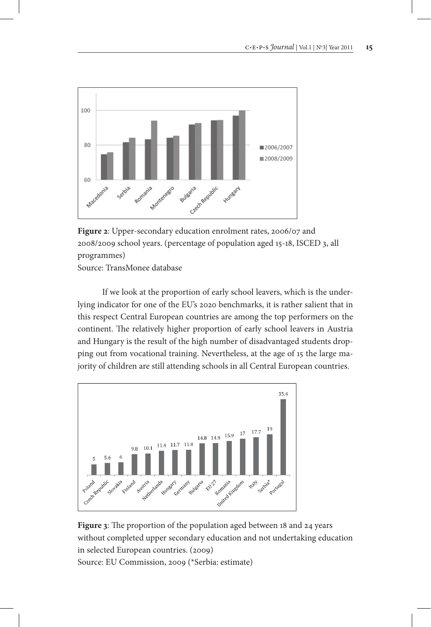

**Figure 2**: Upper-secondary education enrolment rates, 2006/07 and 2008/2009 school years. (percentage of population aged 15-18, ISCED 3, all programmes) Source: TransMonee database

If we look at the proportion of early school leavers, which is the underlying indicator for one of the EU's 2020 benchmarks, it is rather salient that in this respect Central European countries are among the top performers on the continent. The relatively higher proportion of early school leavers in Austria and Hungary is the result of the high number of disadvantaged students dropping out from vocational training. Nevertheless, at the age of 15 the large majority of children are still attending schools in all Central European countries.



**Figure 3**: The proportion of the population aged between 18 and 24 years without completed upper secondary education and not undertaking education in selected European countries. (2009) Source: EU Commission, 2009 (\*Serbia: estimate)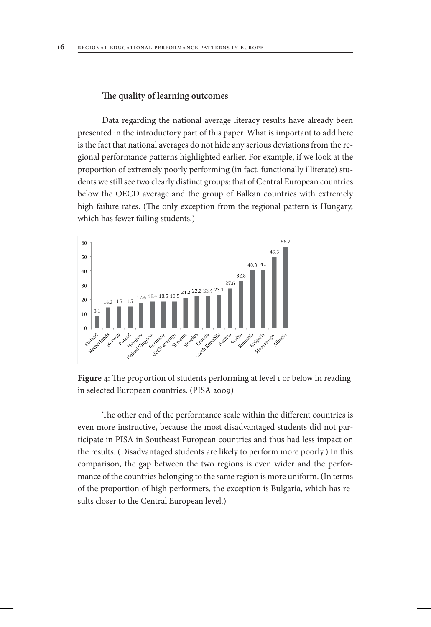#### **The quality of learning outcomes**

Data regarding the national average literacy results have already been presented in the introductory part of this paper. What is important to add here is the fact that national averages do not hide any serious deviations from the regional performance patterns highlighted earlier. For example, if we look at the proportion of extremely poorly performing (in fact, functionally illiterate) students we still see two clearly distinct groups: that of Central European countries below the OECD average and the group of Balkan countries with extremely high failure rates. (The only exception from the regional pattern is Hungary, which has fewer failing students.)



**Figure 4**: The proportion of students performing at level 1 or below in reading in selected European countries. (PISA 2009)

The other end of the performance scale within the different countries is even more instructive, because the most disadvantaged students did not participate in PISA in Southeast European countries and thus had less impact on the results. (Disadvantaged students are likely to perform more poorly.) In this comparison, the gap between the two regions is even wider and the performance of the countries belonging to the same region is more uniform. (In terms of the proportion of high performers, the exception is Bulgaria, which has results closer to the Central European level.)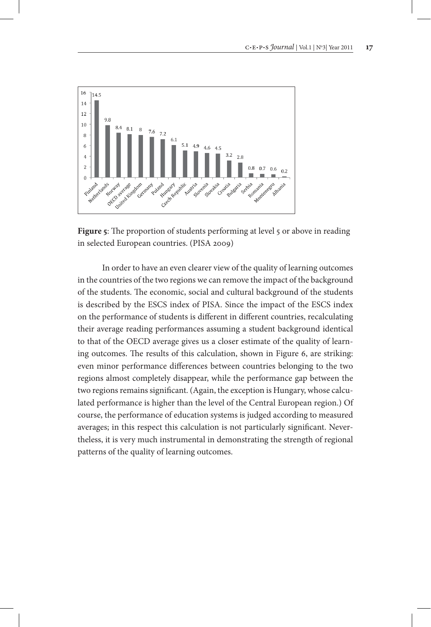

**Figure 5:** The proportion of students performing at level 5 or above in reading in selected European countries. (PISA 2009)

In order to have an even clearer view of the quality of learning outcomes in the countries of the two regions we can remove the impact of the background of the students. The economic, social and cultural background of the students is described by the ESCS index of PISA. Since the impact of the ESCS index on the performance of students is different in different countries, recalculating their average reading performances assuming a student background identical to that of the OECD average gives us a closer estimate of the quality of learning outcomes. The results of this calculation, shown in Figure 6, are striking: even minor performance differences between countries belonging to the two regions almost completely disappear, while the performance gap between the two regions remains significant. (Again, the exception is Hungary, whose calculated performance is higher than the level of the Central European region.) Of course, the performance of education systems is judged according to measured averages; in this respect this calculation is not particularly significant. Nevertheless, it is very much instrumental in demonstrating the strength of regional patterns of the quality of learning outcomes.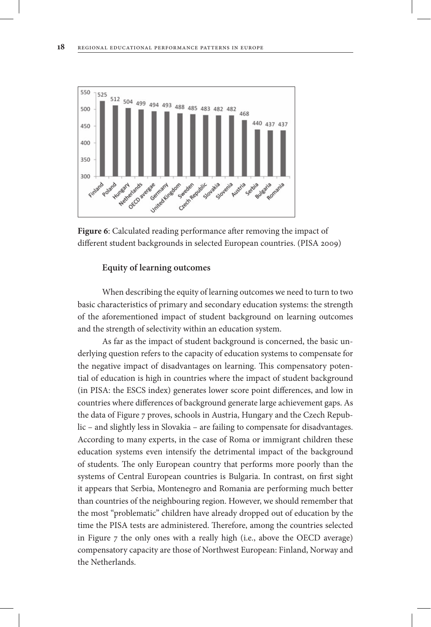

**Figure 6**: Calculated reading performance after removing the impact of different student backgrounds in selected European countries. (PISA 2009)

#### **Equity of learning outcomes**

When describing the equity of learning outcomes we need to turn to two basic characteristics of primary and secondary education systems: the strength of the aforementioned impact of student background on learning outcomes and the strength of selectivity within an education system.

As far as the impact of student background is concerned, the basic underlying question refers to the capacity of education systems to compensate for the negative impact of disadvantages on learning. This compensatory potential of education is high in countries where the impact of student background (in PISA: the ESCS index) generates lower score point differences, and low in countries where differences of background generate large achievement gaps. As the data of Figure 7 proves, schools in Austria, Hungary and the Czech Republic – and slightly less in Slovakia – are failing to compensate for disadvantages. According to many experts, in the case of Roma or immigrant children these education systems even intensify the detrimental impact of the background of students. The only European country that performs more poorly than the systems of Central European countries is Bulgaria. In contrast, on first sight it appears that Serbia, Montenegro and Romania are performing much better than countries of the neighbouring region. However, we should remember that the most "problematic" children have already dropped out of education by the time the PISA tests are administered. Therefore, among the countries selected in Figure 7 the only ones with a really high (i.e., above the OECD average) compensatory capacity are those of Northwest European: Finland, Norway and the Netherlands.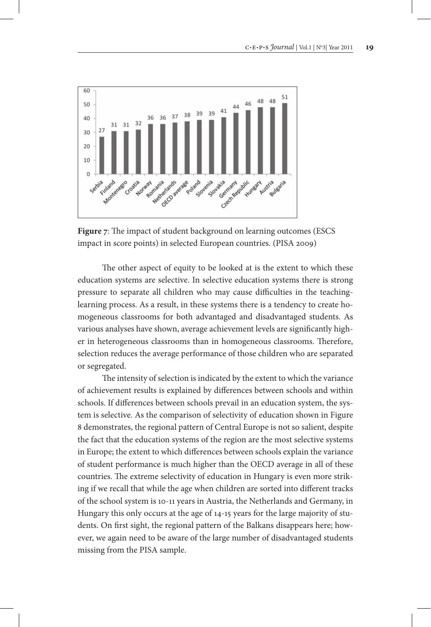

**Figure 7**: The impact of student background on learning outcomes (ESCS impact in score points) in selected European countries. (PISA 2009)

The other aspect of equity to be looked at is the extent to which these education systems are selective. In selective education systems there is strong pressure to separate all children who may cause difficulties in the teachinglearning process. As a result, in these systems there is a tendency to create homogeneous classrooms for both advantaged and disadvantaged students. As various analyses have shown, average achievement levels are significantly higher in heterogeneous classrooms than in homogeneous classrooms. Therefore, selection reduces the average performance of those children who are separated or segregated.

The intensity of selection is indicated by the extent to which the variance of achievement results is explained by differences between schools and within schools. If differences between schools prevail in an education system, the system is selective. As the comparison of selectivity of education shown in Figure 8 demonstrates, the regional pattern of Central Europe is not so salient, despite the fact that the education systems of the region are the most selective systems in Europe; the extent to which differences between schools explain the variance of student performance is much higher than the OECD average in all of these countries. The extreme selectivity of education in Hungary is even more striking if we recall that while the age when children are sorted into different tracks of the school system is 10-11 years in Austria, the Netherlands and Germany, in Hungary this only occurs at the age of 14-15 years for the large majority of students. On first sight, the regional pattern of the Balkans disappears here; however, we again need to be aware of the large number of disadvantaged students missing from the PISA sample.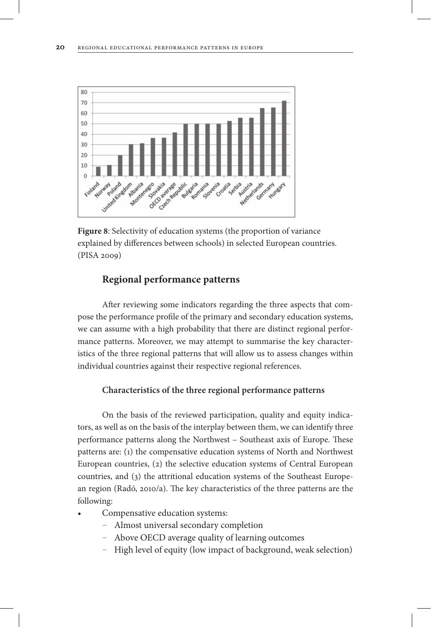

**Figure 8**: Selectivity of education systems (the proportion of variance explained by differences between schools) in selected European countries. (PISA 2009)

## **Regional performance patterns**

After reviewing some indicators regarding the three aspects that compose the performance profile of the primary and secondary education systems, we can assume with a high probability that there are distinct regional performance patterns. Moreover, we may attempt to summarise the key characteristics of the three regional patterns that will allow us to assess changes within individual countries against their respective regional references.

#### **Characteristics of the three regional performance patterns**

On the basis of the reviewed participation, quality and equity indicators, as well as on the basis of the interplay between them, we can identify three performance patterns along the Northwest – Southeast axis of Europe. These patterns are: (1) the compensative education systems of North and Northwest European countries, (2) the selective education systems of Central European countries, and (3) the attritional education systems of the Southeast European region (Radó, 2010/a). The key characteristics of the three patterns are the following:

- Compensative education systems:
	- Almost universal secondary completion
	- Above OECD average quality of learning outcomes
	- High level of equity (low impact of background, weak selection)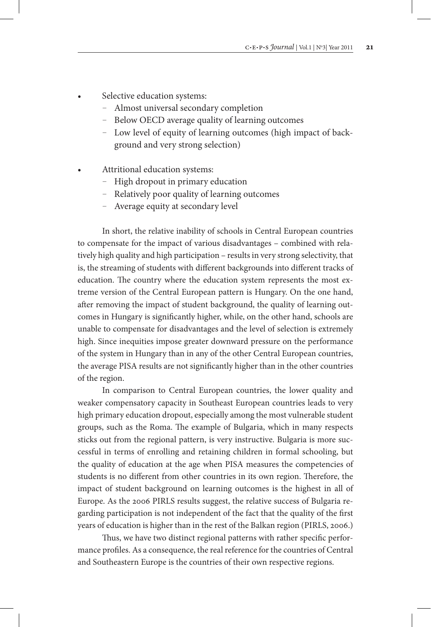- Selective education systems:
	- Almost universal secondary completion
	- Below OECD average quality of learning outcomes
	- Low level of equity of learning outcomes (high impact of background and very strong selection)
- Attritional education systems:
	- High dropout in primary education
	- Relatively poor quality of learning outcomes
	- Average equity at secondary level

In short, the relative inability of schools in Central European countries to compensate for the impact of various disadvantages – combined with relatively high quality and high participation – results in very strong selectivity, that is, the streaming of students with different backgrounds into different tracks of education. The country where the education system represents the most extreme version of the Central European pattern is Hungary. On the one hand, after removing the impact of student background, the quality of learning outcomes in Hungary is significantly higher, while, on the other hand, schools are unable to compensate for disadvantages and the level of selection is extremely high. Since inequities impose greater downward pressure on the performance of the system in Hungary than in any of the other Central European countries, the average PISA results are not significantly higher than in the other countries of the region.

In comparison to Central European countries, the lower quality and weaker compensatory capacity in Southeast European countries leads to very high primary education dropout, especially among the most vulnerable student groups, such as the Roma. The example of Bulgaria, which in many respects sticks out from the regional pattern, is very instructive. Bulgaria is more successful in terms of enrolling and retaining children in formal schooling, but the quality of education at the age when PISA measures the competencies of students is no different from other countries in its own region. Therefore, the impact of student background on learning outcomes is the highest in all of Europe. As the 2006 PIRLS results suggest, the relative success of Bulgaria regarding participation is not independent of the fact that the quality of the first years of education is higher than in the rest of the Balkan region (PIRLS, 2006.)

Thus, we have two distinct regional patterns with rather specific performance profiles. As a consequence, the real reference for the countries of Central and Southeastern Europe is the countries of their own respective regions.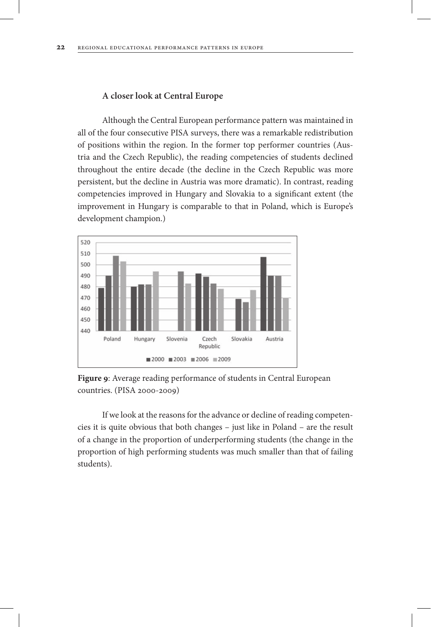#### **A closer look at Central Europe**

Although the Central European performance pattern was maintained in all of the four consecutive PISA surveys, there was a remarkable redistribution of positions within the region. In the former top performer countries (Austria and the Czech Republic), the reading competencies of students declined throughout the entire decade (the decline in the Czech Republic was more persistent, but the decline in Austria was more dramatic). In contrast, reading competencies improved in Hungary and Slovakia to a significant extent (the improvement in Hungary is comparable to that in Poland, which is Europe's development champion.)



**Figure 9**: Average reading performance of students in Central European countries. (PISA 2000-2009)

If we look at the reasons for the advance or decline of reading competencies it is quite obvious that both changes – just like in Poland – are the result of a change in the proportion of underperforming students (the change in the proportion of high performing students was much smaller than that of failing students).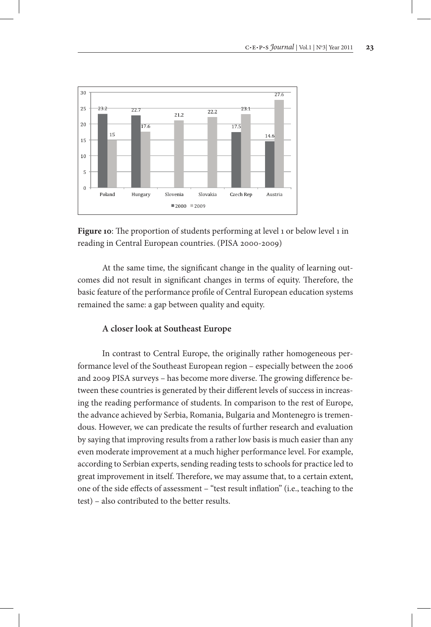

Figure 10: The proportion of students performing at level 1 or below level 1 in reading in Central European countries. (PISA 2000-2009)

At the same time, the significant change in the quality of learning outcomes did not result in significant changes in terms of equity. Therefore, the basic feature of the performance profile of Central European education systems remained the same: a gap between quality and equity.

### **A closer look at Southeast Europe**

In contrast to Central Europe, the originally rather homogeneous performance level of the Southeast European region – especially between the 2006 and 2009 PISA surveys – has become more diverse. The growing difference between these countries is generated by their different levels of success in increasing the reading performance of students. In comparison to the rest of Europe, the advance achieved by Serbia, Romania, Bulgaria and Montenegro is tremendous. However, we can predicate the results of further research and evaluation by saying that improving results from a rather low basis is much easier than any even moderate improvement at a much higher performance level. For example, according to Serbian experts, sending reading tests to schools for practice led to great improvement in itself. Therefore, we may assume that, to a certain extent, one of the side effects of assessment – "test result inflation" (i.e., teaching to the test) – also contributed to the better results.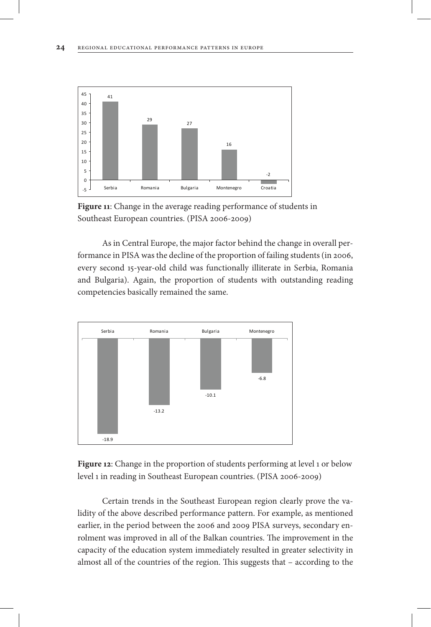

**Figure 11**: Change in the average reading performance of students in Southeast European countries. (PISA 2006-2009)

As in Central Europe, the major factor behind the change in overall performance in PISA was the decline of the proportion of failing students (in 2006, every second 15-year-old child was functionally illiterate in Serbia, Romania and Bulgaria). Again, the proportion of students with outstanding reading competencies basically remained the same.



Figure 12: Change in the proportion of students performing at level 1 or below level 1 in reading in Southeast European countries. (PISA 2006-2009)

Certain trends in the Southeast European region clearly prove the validity of the above described performance pattern. For example, as mentioned earlier, in the period between the 2006 and 2009 PISA surveys, secondary enrolment was improved in all of the Balkan countries. The improvement in the capacity of the education system immediately resulted in greater selectivity in almost all of the countries of the region. This suggests that – according to the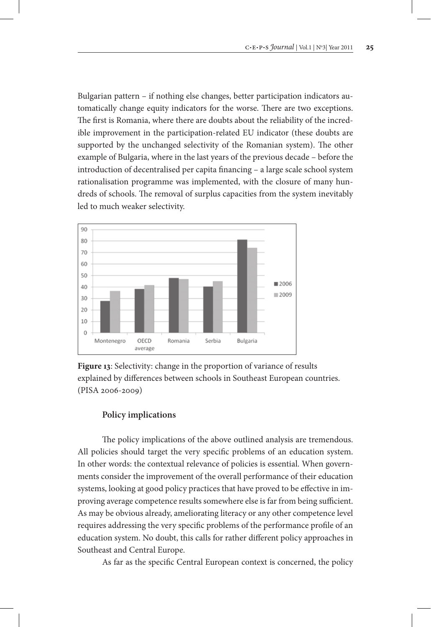Bulgarian pattern – if nothing else changes, better participation indicators automatically change equity indicators for the worse. There are two exceptions. The first is Romania, where there are doubts about the reliability of the incredible improvement in the participation-related EU indicator (these doubts are supported by the unchanged selectivity of the Romanian system). The other example of Bulgaria, where in the last years of the previous decade – before the introduction of decentralised per capita financing – a large scale school system rationalisation programme was implemented, with the closure of many hundreds of schools. The removal of surplus capacities from the system inevitably led to much weaker selectivity.



**Figure 13**: Selectivity: change in the proportion of variance of results explained by differences between schools in Southeast European countries. (PISA 2006-2009)

## **Policy implications**

The policy implications of the above outlined analysis are tremendous. All policies should target the very specific problems of an education system. In other words: the contextual relevance of policies is essential. When governments consider the improvement of the overall performance of their education systems, looking at good policy practices that have proved to be effective in improving average competence results somewhere else is far from being sufficient. As may be obvious already, ameliorating literacy or any other competence level requires addressing the very specific problems of the performance profile of an education system. No doubt, this calls for rather different policy approaches in Southeast and Central Europe.

As far as the specific Central European context is concerned, the policy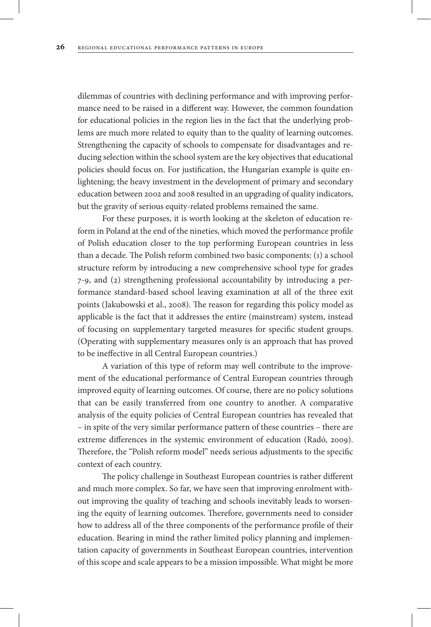dilemmas of countries with declining performance and with improving performance need to be raised in a different way. However, the common foundation for educational policies in the region lies in the fact that the underlying problems are much more related to equity than to the quality of learning outcomes. Strengthening the capacity of schools to compensate for disadvantages and reducing selection within the school system are the key objectives that educational policies should focus on. For justification, the Hungarian example is quite enlightening; the heavy investment in the development of primary and secondary education between 2002 and 2008 resulted in an upgrading of quality indicators, but the gravity of serious equity-related problems remained the same.

For these purposes, it is worth looking at the skeleton of education reform in Poland at the end of the nineties, which moved the performance profile of Polish education closer to the top performing European countries in less than a decade. The Polish reform combined two basic components: (1) a school structure reform by introducing a new comprehensive school type for grades 7-9, and (2) strengthening professional accountability by introducing a performance standard-based school leaving examination at all of the three exit points (Jakubowski et al., 2008). The reason for regarding this policy model as applicable is the fact that it addresses the entire (mainstream) system, instead of focusing on supplementary targeted measures for specific student groups. (Operating with supplementary measures only is an approach that has proved to be ineffective in all Central European countries.)

A variation of this type of reform may well contribute to the improvement of the educational performance of Central European countries through improved equity of learning outcomes. Of course, there are no policy solutions that can be easily transferred from one country to another. A comparative analysis of the equity policies of Central European countries has revealed that – in spite of the very similar performance pattern of these countries – there are extreme differences in the systemic environment of education (Radó, 2009). Therefore, the "Polish reform model" needs serious adjustments to the specific context of each country.

The policy challenge in Southeast European countries is rather different and much more complex. So far, we have seen that improving enrolment without improving the quality of teaching and schools inevitably leads to worsening the equity of learning outcomes. Therefore, governments need to consider how to address all of the three components of the performance profile of their education. Bearing in mind the rather limited policy planning and implementation capacity of governments in Southeast European countries, intervention of this scope and scale appears to be a mission impossible. What might be more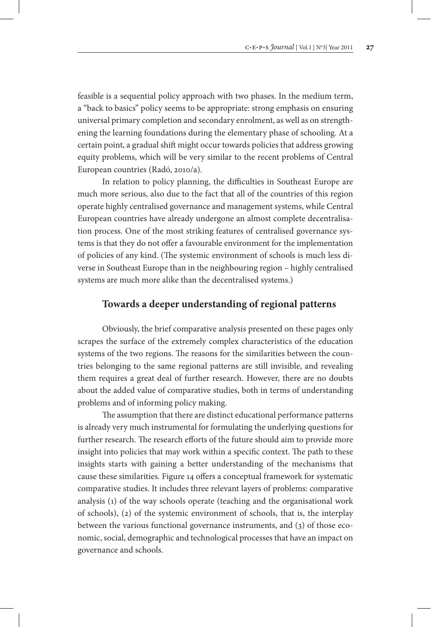feasible is a sequential policy approach with two phases. In the medium term, a "back to basics" policy seems to be appropriate: strong emphasis on ensuring universal primary completion and secondary enrolment, as well as on strengthening the learning foundations during the elementary phase of schooling. At a certain point, a gradual shift might occur towards policies that address growing equity problems, which will be very similar to the recent problems of Central European countries (Radó, 2010/a).

In relation to policy planning, the difficulties in Southeast Europe are much more serious, also due to the fact that all of the countries of this region operate highly centralised governance and management systems, while Central European countries have already undergone an almost complete decentralisation process. One of the most striking features of centralised governance systems is that they do not offer a favourable environment for the implementation of policies of any kind. (The systemic environment of schools is much less diverse in Southeast Europe than in the neighbouring region – highly centralised systems are much more alike than the decentralised systems.)

## **Towards a deeper understanding of regional patterns**

Obviously, the brief comparative analysis presented on these pages only scrapes the surface of the extremely complex characteristics of the education systems of the two regions. The reasons for the similarities between the countries belonging to the same regional patterns are still invisible, and revealing them requires a great deal of further research. However, there are no doubts about the added value of comparative studies, both in terms of understanding problems and of informing policy making.

The assumption that there are distinct educational performance patterns is already very much instrumental for formulating the underlying questions for further research. The research efforts of the future should aim to provide more insight into policies that may work within a specific context. The path to these insights starts with gaining a better understanding of the mechanisms that cause these similarities. Figure 14 offers a conceptual framework for systematic comparative studies. It includes three relevant layers of problems: comparative analysis (1) of the way schools operate (teaching and the organisational work of schools), (2) of the systemic environment of schools, that is, the interplay between the various functional governance instruments, and (3) of those economic, social, demographic and technological processes that have an impact on governance and schools.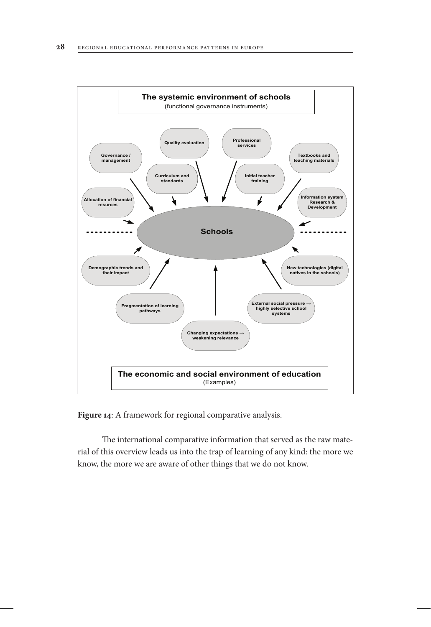

**Figure 14**: A framework for regional comparative analysis.

The international comparative information that served as the raw material of this overview leads us into the trap of learning of any kind: the more we know, the more we are aware of other things that we do not know.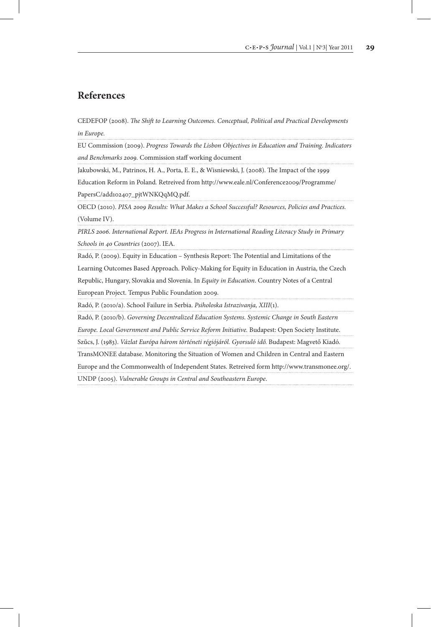## **References**

CEDEFOP (2008). *The Shift to Learning Outcomes. Conceptual, Political and Practical Developments in Europe.*

EU Commission (2009). *Progress Towards the Lisbon Objectives in Education and Training. Indicators and Benchmarks 2009.* Commission staff working document

Jakubowski, M., Patrinos, H. A., Porta, E. E., & Wisniewski, J. (2008). The Impact of the 1999

Education Reform in Poland*.* Retreived from http://www.eale.nl/Conference2009/Programme/ PapersC/add102407\_pjtWNKQqMQ.pdf.

OECD (2010). *PISA 2009 Results: What Makes a School Successful? Resources, Policies and Practices.*  (Volume IV). 

*PIRLS 2006. International Report. IEAs Progress in International Reading Literacy Study in Primary Schools in 40 Countries* (2007). IEA.

Radó, P. (2009). Equity in Education – Synthesis Report: The Potential and Limitations of the Learning Outcomes Based Approach. Policy-Making for Equity in Education in Austria, the Czech

Republic, Hungary, Slovakia and Slovenia. In *Equity in Education*. Country Notes of a Central

European Project. Tempus Public Foundation 2009.

Radó, P. (2010/a). School Failure in Serbia. *Psiholoska Istrazivanja, XIII*(1).

Radó, P. (2010/b). *Governing Decentralized Education Systems. Systemic Change in South Eastern* 

*Europe. Local Government and Public Service Reform Initiative.* Budapest: Open Society Institute.

Szűcs, J. (1983). *Vázlat Európa három történeti régiójáról. Gyorsuló idő.* Budapest: Magvető Kiadó.

TransMONEE database. Monitoring the Situation of Women and Children in Central and Eastern

Europe and the Commonwealth of Independent States. Retreived form http://www.transmonee.org/.

UNDP (2005). *Vulnerable Groups in Central and Southeastern Europe*.